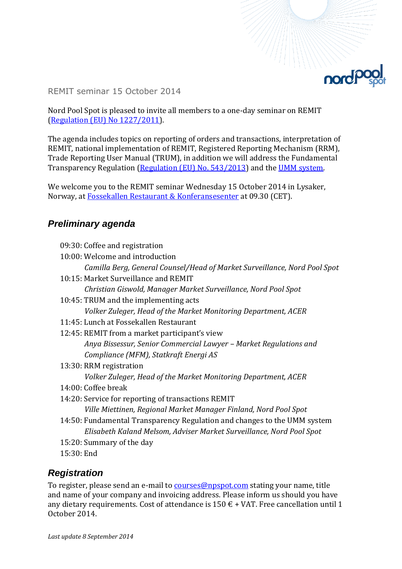

REMIT seminar 15 October 2014

Nord Pool Spot is pleased to invite all members to a one-day seminar on REMIT [\(Regulation \(EU\) No 1227/2011\)](http://eur-lex.europa.eu/LexUriServ/LexUriServ.do?uri=OJ:L:2011:326:0001:0016:en:PDF).

The agenda includes topics on reporting of orders and transactions, interpretation of REMIT, national implementation of REMIT, Registered Reporting Mechanism (RRM), Trade Reporting User Manual (TRUM), in addition we will address the Fundamental Transparency Regulation [\(Regulation \(EU\) No. 543/2013\)](http://eur-lex.europa.eu/LexUriServ/LexUriServ.do?uri=OJ:L:2013:163:0001:0012:EN:PDF) and the [UMM system.](https://umm.nordpoolspot.com/)

We welcome you to the REMIT seminar Wednesday 15 October 2014 in Lysaker, Norway, at [Fossekallen Restaurant & Konferansesenter](http://www.fossekallen.no/) at 09.30 (CET).

## *Preliminary agenda*

- 09:30: Coffee and registration
- 10:00: Welcome and introduction *Camilla Berg, General Counsel/Head of Market Surveillance, Nord Pool Spot*
- 10:15: Market Surveillance and REMIT *Christian Giswold, Manager Market Surveillance, Nord Pool Spot*
- 10:45: TRUM and the implementing acts *Volker Zuleger, Head of the Market Monitoring Department, ACER*
- 11:45: Lunch at Fossekallen Restaurant
- 12:45: REMIT from a market participant's view *Anya Bissessur, Senior Commercial Lawyer – Market Regulations and Compliance (MFM), Statkraft Energi AS*
- 13:30: RRM registration *Volker Zuleger, Head of the Market Monitoring Department, ACER*
- 14:00: Coffee break
- 14:20: Service for reporting of transactions REMIT *Ville Miettinen, Regional Market Manager Finland, Nord Pool Spot*
- 14:50: Fundamental Transparency Regulation and changes to the UMM system *Elisabeth Kaland Melsom, Adviser Market Surveillance, Nord Pool Spot*
- 15:20: Summary of the day
- 15:30: End

## *Registration*

To register, please send an e-mail to **[courses@npspot.com](mailto:courses@npspot.com?subject=Registration%20for%20REMIT%20seminar%2015%20October%202014)** stating your name, title and name of your company and invoicing address. Please inform us should you have any dietary requirements. Cost of attendance is  $150 \text{ } \in$  + VAT. Free cancellation until 1 October 2014.